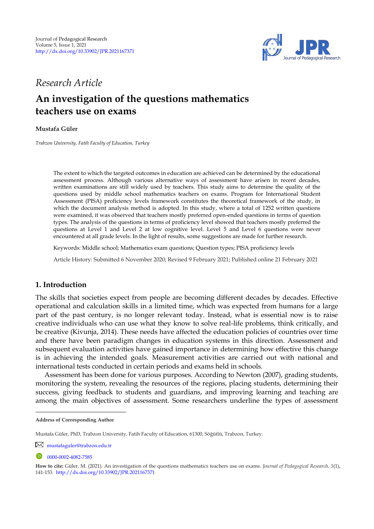

# *Research Article*

# **An investigation of the questions mathematics teachers use on exams**

# **Mustafa Güler <sup>1</sup>**

*Trabzon University, Fatih Faculty of Education, Turkey* 

The extent to which the targeted outcomes in education are achieved can be determined by the educational assessment process. Although various alternative ways of assessment have arisen in recent decades, written examinations are still widely used by teachers. This study aims to determine the quality of the questions used by middle school mathematics teachers on exams. Program for International Student Assessment (PISA) proficiency levels framework constitutes the theoretical framework of the study, in which the document analysis method is adopted. In this study, where a total of 1252 written questions were examined, it was observed that teachers mostly preferred open-ended questions in terms of question types. The analysis of the questions in terms of proficiency level showed that teachers mostly preferred the questions at Level 1 and Level 2 at low cognitive level. Level 5 and Level 6 questions were never encountered at all grade levels. In the light of results, some suggestions are made for further research.

Keywords: Middle school; Mathematics exam questions; Question types; PISA proficiency levels

Article History: Submitted 6 November 2020; Revised 9 February 2021; Published online 21 February 2021

# **1. Introduction**

The skills that societies expect from people are becoming different decades by decades. Effective operational and calculation skills in a limited time, which was expected from humans for a large part of the past century, is no longer relevant today. Instead, what is essential now is to raise creative individuals who can use what they know to solve real-life problems, think critically, and be creative (Kivunja, 2014). These needs have affected the education policies of countries over time and there have been paradigm changes in education systems in this direction. Assessment and subsequent evaluation activities have gained importance in determining how effective this change is in achieving the intended goals. Measurement activities are carried out with national and international tests conducted in certain periods and exams held in schools.

Assessment has been done for various purposes. According to Newton (2007), grading students, monitoring the system, revealing the resources of the regions, placing students, determining their success, giving feedback to students and guardians, and improving learning and teaching are among the main objectives of assessment. Some researchers underline the types of assessment

**Address of Corresponding Author**

Mustafa Güler, PhD, Trabzon University, Fatih Faculty of Education, 61300, Söğütlü, Trabzon, Turkey.

[mustafaguler@trabzon.edu.tr](mailto:mustafaguler@trabzon.edu.tr)

<sup>0000-0002-4082-7585</sup> 

**How to cite:** Güler, M. (2021). An investigation of the questions mathematics teachers use on exams. *Journal of Pedagogical Research, 5*(1), 141-153. <http://dx.doi.org/10.33902/JPR.2021167371>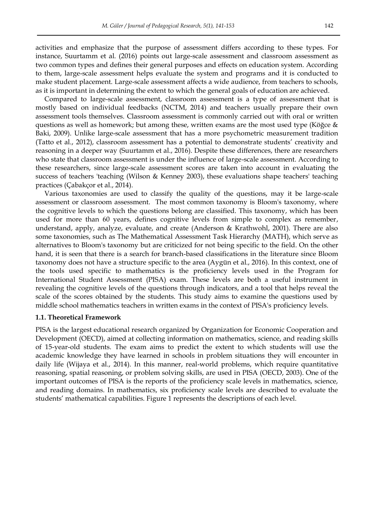activities and emphasize that the purpose of assessment differs according to these types. For instance, Suurtamm et al. (2016) points out large-scale assessment and classroom assessment as two common types and defines their general purposes and effects on education system. According to them, large-scale assessment helps evaluate the system and programs and it is conducted to make student placement. Large-scale assessment affects a wide audience, from teachers to schools, as it is important in determining the extent to which the general goals of education are achieved.

Compared to large-scale assessment, classroom assessment is a type of assessment that is mostly based on individual feedbacks (NCTM, 2014) and teachers usually prepare their own assessment tools themselves. Classroom assessment is commonly carried out with oral or written questions as well as homework; but among these, written exams are the most used type (Köğce & Baki, 2009). Unlike large-scale assessment that has a more psychometric measurement tradition (Tatto et al., 2012), classroom assessment has a potential to demonstrate students' creativity and reasoning in a deeper way (Suurtamm et al., 2016). Despite these differences, there are researchers who state that classroom assessment is under the influence of large-scale assessment. According to these researchers, since large-scale assessment scores are taken into account in evaluating the success of teachers 'teaching (Wilson & Kenney 2003), these evaluations shape teachers' teaching practices (Çabakçor et al., 2014).

Various taxonomies are used to classify the quality of the questions, may it be large-scale assessment or classroom assessment. The most common taxonomy is Bloom's taxonomy, where the cognitive levels to which the questions belong are classified. This taxonomy, which has been used for more than 60 years, defines cognitive levels from simple to complex as remember, understand, apply, analyze, evaluate, and create (Anderson & Krathwohl, 2001). There are also some taxonomies, such as The Mathematical Assessment Task Hierarchy (MATH), which serve as alternatives to Bloom's taxonomy but are criticized for not being specific to the field. On the other hand, it is seen that there is a search for branch-based classifications in the literature since Bloom taxonomy does not have a structure specific to the area (Aygün et al., 2016). In this context, one of the tools used specific to mathematics is the proficiency levels used in the Program for International Student Assessment (PISA) exam. These levels are both a useful instrument in revealing the cognitive levels of the questions through indicators, and a tool that helps reveal the scale of the scores obtained by the students. This study aims to examine the questions used by middle school mathematics teachers in written exams in the context of PISA's proficiency levels.

#### **1.1. Theoretical Framework**

PISA is the largest educational research organized by Organization for Economic Cooperation and Development (OECD), aimed at collecting information on mathematics, science, and reading skills of 15-year-old students. The exam aims to predict the extent to which students will use the academic knowledge they have learned in schools in problem situations they will encounter in daily life (Wijaya et al., 2014). In this manner, real-world problems, which require quantitative reasoning, spatial reasoning, or problem solving skills, are used in PISA (OECD, 2003). One of the important outcomes of PISA is the reports of the proficiency scale levels in mathematics, science, and reading domains. In mathematics, six proficiency scale levels are described to evaluate the students' mathematical capabilities. Figure 1 represents the descriptions of each level.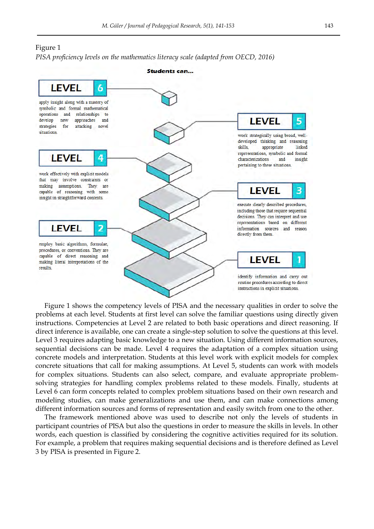## Figure 1

*PISA proficiency levels on the mathematics literacy scale (adapted from OECD, 2016)* 



Figure 1 shows the competency levels of PISA and the necessary qualities in order to solve the problems at each level. Students at first level can solve the familiar questions using directly given instructions. Competencies at Level 2 are related to both basic operations and direct reasoning. If direct inference is available, one can create a single-step solution to solve the questions at this level. Level 3 requires adapting basic knowledge to a new situation. Using different information sources, sequential decisions can be made. Level 4 requires the adaptation of a complex situation using concrete models and interpretation. Students at this level work with explicit models for complex concrete situations that call for making assumptions. At Level 5, students can work with models for complex situations. Students can also select, compare, and evaluate appropriate problemsolving strategies for handling complex problems related to these models. Finally, students at Level 6 can form concepts related to complex problem situations based on their own research and modeling studies, can make generalizations and use them, and can make connections among different information sources and forms of representation and easily switch from one to the other.

The framework mentioned above was used to describe not only the levels of students in participant countries of PISA but also the questions in order to measure the skills in levels. In other words, each question is classified by considering the cognitive activities required for its solution. For example, a problem that requires making sequential decisions and is therefore defined as Level 3 by PISA is presented in Figure 2.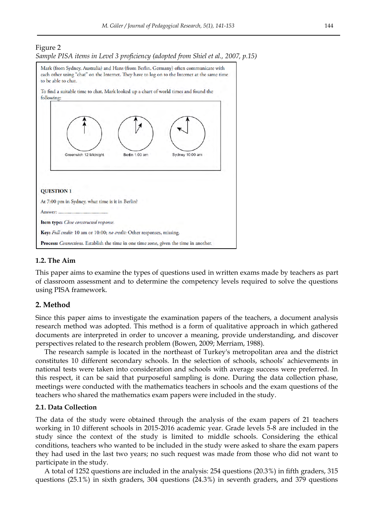



# **1.2. The Aim**

This paper aims to examine the types of questions used in written exams made by teachers as part of classroom assessment and to determine the competency levels required to solve the questions using PISA framework.

# **2. Method**

Since this paper aims to investigate the examination papers of the teachers, a document analysis research method was adopted. This method is a form of qualitative approach in which gathered documents are interpreted in order to uncover a meaning, provide understanding, and discover perspectives related to the research problem (Bowen, 2009; Merriam, 1988).

The research sample is located in the northeast of Turkey's metropolitan area and the district constitutes 10 different secondary schools. In the selection of schools, schools' achievements in national tests were taken into consideration and schools with average success were preferred. In this respect, it can be said that purposeful sampling is done. During the data collection phase, meetings were conducted with the mathematics teachers in schools and the exam questions of the teachers who shared the mathematics exam papers were included in the study.

#### **2.1. Data Collection**

The data of the study were obtained through the analysis of the exam papers of 21 teachers working in 10 different schools in 2015-2016 academic year. Grade levels 5-8 are included in the study since the context of the study is limited to middle schools. Considering the ethical conditions, teachers who wanted to be included in the study were asked to share the exam papers they had used in the last two years; no such request was made from those who did not want to participate in the study.

A total of 1252 questions are included in the analysis: 254 questions (20.3%) in fifth graders, 315 questions (25.1%) in sixth graders, 304 questions (24.3%) in seventh graders, and 379 questions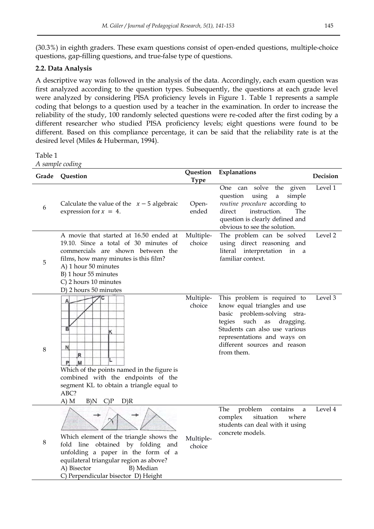(30.3%) in eighth graders. These exam questions consist of open-ended questions, multiple-choice questions, gap-filling questions, and true-false type of questions.

# **2.2. Data Analysis**

A descriptive way was followed in the analysis of the data. Accordingly, each exam question was first analyzed according to the question types. Subsequently, the questions at each grade level were analyzed by considering PISA proficiency levels in Figure 1. Table 1 represents a sample coding that belongs to a question used by a teacher in the examination. In order to increase the reliability of the study, 100 randomly selected questions were re-coded after the first coding by a different researcher who studied PISA proficiency levels; eight questions were found to be different. Based on this compliance percentage, it can be said that the reliability rate is at the desired level (Miles & Huberman, 1994).

Table 1

*A sample coding* 

| Grade   | Question                                                                                                                                                                                                                                                        | Question<br><b>Type</b> | Explanations                                                                                                                                                                                                                                  | Decision |
|---------|-----------------------------------------------------------------------------------------------------------------------------------------------------------------------------------------------------------------------------------------------------------------|-------------------------|-----------------------------------------------------------------------------------------------------------------------------------------------------------------------------------------------------------------------------------------------|----------|
| 6       | Calculate the value of the $x - 5$ algebraic<br>expression for $x = 4$ .                                                                                                                                                                                        | Open-<br>ended          | One can solve<br>the<br>given<br>question<br>using<br>simple<br>$\rm{a}$<br>routine procedure according to<br>direct<br>instruction.<br>The<br>question is clearly defined and<br>obvious to see the solution.                                | Level 1  |
| 5       | A movie that started at 16.50 ended at<br>19.10. Since a total of 30 minutes of<br>commercials are shown between the<br>films, how many minutes is this film?<br>A) 1 hour 50 minutes<br>B) 1 hour 55 minutes<br>C) 2 hours 10 minutes<br>D) 2 hours 50 minutes | Multiple-<br>choice     | The problem can be solved<br>using direct reasoning and<br>literal interpretation in a<br>familiar context.                                                                                                                                   | Level 2  |
| 8       | B<br>ĸ<br>N.<br>R<br>M<br>P<br>Which of the points named in the figure is<br>combined with the endpoints of the<br>segment KL to obtain a triangle equal to<br>ABC?<br>A) M<br>B)N<br>$C$ ) $P$<br>D)R                                                          | Multiple-<br>choice     | This problem is required to<br>know equal triangles and use<br>basic problem-solving stra-<br>tegies<br>such<br>dragging.<br>as<br>Students can also use various<br>representations and ways on<br>different sources and reason<br>from them. | Level 3  |
| $\,8\,$ | Which element of the triangle shows the<br>fold line obtained by folding<br>and<br>unfolding a paper in the form of a<br>equilateral triangular region as above?<br>B) Median<br>A) Bisector<br>C) Perpendicular bisector D) Height                             | Multiple-<br>choice     | The<br>problem<br>contains<br>a<br>complex<br>situation<br>where<br>students can deal with it using<br>concrete models.                                                                                                                       | Level 4  |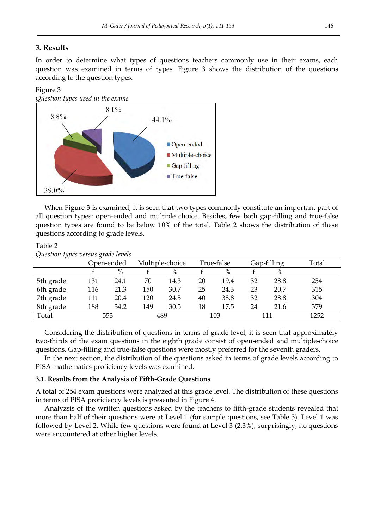# **3. Results**

In order to determine what types of questions teachers commonly use in their exams, each question was examined in terms of types. Figure 3 shows the distribution of the questions according to the question types.

## Figure 3



When Figure 3 is examined, it is seen that two types commonly constitute an important part of all question types: open-ended and multiple choice. Besides, few both gap-filling and true-false question types are found to be below 10% of the total. Table 2 shows the distribution of these questions according to grade levels.

#### Table 2 *Question types versus grade levels*

| $\mathbf{X}$ and $\mathbf{X}$ and $\mathbf{Y}$ are $\mathbf{Y}$ and $\mathbf{Y}$ are $\mathbf{Y}$ and $\mathbf{Y}$ |     |            |     |                 |    |            |    |             |       |
|--------------------------------------------------------------------------------------------------------------------|-----|------------|-----|-----------------|----|------------|----|-------------|-------|
|                                                                                                                    |     | Open-ended |     | Multiple-choice |    | True-false |    | Gap-filling | Total |
|                                                                                                                    |     | %          |     | $\%$            |    | $\%$       |    | $\%$        |       |
| 5th grade                                                                                                          | 131 | 24.1       | 70  | 14.3            | 20 | 19.4       | 32 | 28.8        | 254   |
| 6th grade                                                                                                          | 116 | 21.3       | 150 | 30.7            | 25 | 24.3       | 23 | 20.7        | 315   |
| 7th grade                                                                                                          | 111 | 20.4       | 120 | 24.5            | 40 | 38.8       | 32 | 28.8        | 304   |
| 8th grade                                                                                                          | 188 | 34.2       | 149 | 30.5            | 18 | 17.5       | 24 | 21.6        | 379   |
| Total                                                                                                              |     | 553        |     | 489             |    | 103        |    | 111         | 1252  |

Considering the distribution of questions in terms of grade level, it is seen that approximately two-thirds of the exam questions in the eighth grade consist of open-ended and multiple-choice questions. Gap-filling and true-false questions were mostly preferred for the seventh graders.

In the next section, the distribution of the questions asked in terms of grade levels according to PISA mathematics proficiency levels was examined.

## **3.1. Results from the Analysis of Fifth-Grade Questions**

A total of 254 exam questions were analyzed at this grade level. The distribution of these questions in terms of PISA proficiency levels is presented in Figure 4.

Analyzsis of the written questions asked by the teachers to fifth-grade students revealed that more than half of their questions were at Level 1 (for sample questions, see Table 3). Level 1 was followed by Level 2. While few questions were found at Level 3 (2.3%), surprisingly, no questions were encountered at other higher levels.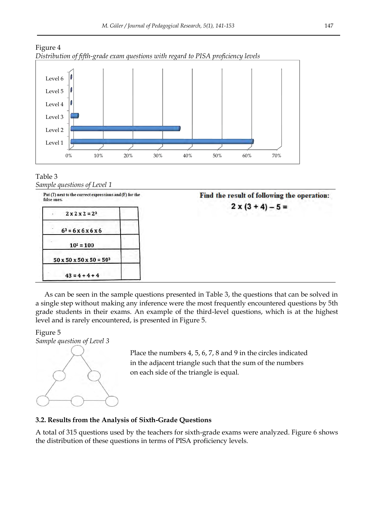



#### Table 3 *Sample questions of Level 1*

| Put (T) next to the correct expressions and (F) for the<br>false ones. | Find the result of following the operation: |
|------------------------------------------------------------------------|---------------------------------------------|
| $2 \times 2 \times 2 = 2^3$                                            | $2 \times (3 + 4) - 5 =$                    |
| $63 = 6x6x6x6$                                                         |                                             |
| $10^2 = 100$                                                           |                                             |
| $50 \times 50 \times 50 \times 50 = 50^3$                              |                                             |
| $43 = 4 + 4 + 4$                                                       |                                             |

As can be seen in the sample questions presented in Table 3, the questions that can be solved in a single step without making any inference were the most frequently encountered questions by 5th grade students in their exams. An example of the third-level questions, which is at the highest level and is rarely encountered, is presented in Figure 5.

# Figure 5 *Sample question of Level 3*



Place the numbers 4, 5, 6, 7, 8 and 9 in the circles indicated in the adjacent triangle such that the sum of the numbers on each side of the triangle is equal.

# **3.2. Results from the Analysis of Sixth-Grade Questions**

A total of 315 questions used by the teachers for sixth-grade exams were analyzed. Figure 6 shows the distribution of these questions in terms of PISA proficiency levels.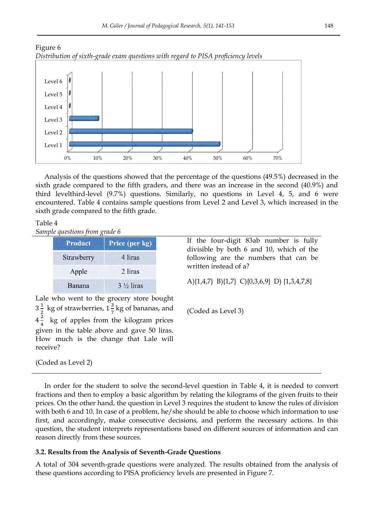



Analysis of the questions showed that the percentage of the questions (49.5%) decreased in the sixth grade compared to the fifth graders, and there was an increase in the second (40.9%) and third levelthird-level (9.7%) questions. Similarly, no questions in Level 4, 5, and 6 were encountered. Table 4 contains sample questions from Level 2 and Level 3, which increased in the sixth grade compared to the fifth grade.

# Table 4

*Sample questions from grade 6* 

| <b>Product</b> | Price (per kg)       |
|----------------|----------------------|
| Strawberry     | 4 liras              |
| Apple          | 2 liras              |
| Banana         | $3\frac{1}{2}$ liras |

If the four-digit 83ab number is fully divisible by both 6 and 10, which of the following are the numbers that can be written instead of a?

A){1,4,7} B){1,7} C){0,3,6,9} D) {1,3,4,7,8}

(Coded as Level 3)

Lale who went to the grocery store bought  $3\frac{1}{2}$  $\frac{1}{2}$  kg of strawberries,  $1\frac{3}{7}$  $\frac{5}{7}$  kg of bananas, and  $4\frac{2}{4}$  $\frac{2}{4}$  kg of apples from the kilogram prices given in the table above and gave 50 liras. How much is the change that Lale will receive?

(Coded as Level 2)

In order for the student to solve the second-level question in Table 4, it is needed to convert fractions and then to employ a basic algorithm by relating the kilograms of the given fruits to their prices. On the other hand, the question in Level 3 requires the student to know the rules of division with both 6 and 10. In case of a problem, he/she should be able to choose which information to use first, and accordingly, make consecutive decisions, and perform the necessary actions. In this question, the student interprets representations based on different sources of information and can reason directly from these sources.

# **3.2. Results from the Analysis of Seventh-Grade Questions**

A total of 304 seventh-grade questions were analyzed. The results obtained from the analysis of these questions according to PISA proficiency levels are presented in Figure 7.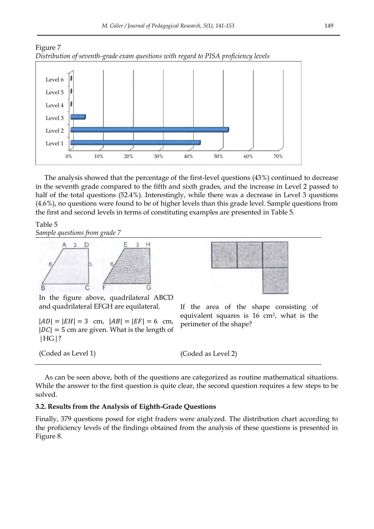



The analysis showed that the percentage of the first-level questions (43%) continued to decrease in the seventh grade compared to the fifth and sixth grades, and the increase in Level 2 passed to half of the total questions (52.4%). Interestingly, while there was a decrease in Level 3 questions (4.6%), no questions were found to be of higher levels than this grade level. Sample questions from the first and second levels in terms of constituting examples are presented in Table 5.

Table 5 *Sample questions from grade 7* 



If the area of the shape consisting of equivalent squares is 16 cm2, what is the

In the figure above, quadrilateral ABCD and quadrilateral EFGH are equilateral.

 $|AD| = |EH| = 3$  cm,  $|AB| = |EF| = 6$  cm,  $|DC| = 5$  cm are given. What is the length of |HG|?

(Coded as Level 1)

perimeter of the shape?

(Coded as Level 2)

As can be seen above, both of the questions are categorized as routine mathematical situations. While the answer to the first question is quite clear, the second question requires a few steps to be solved.

# **3.2. Results from the Analysis of Eighth-Grade Questions**

Finally, 379 questions posed for eight fraders were analyzed. The distribution chart according to the proficiency levels of the findings obtained from the analysis of these questions is presented in Figure 8.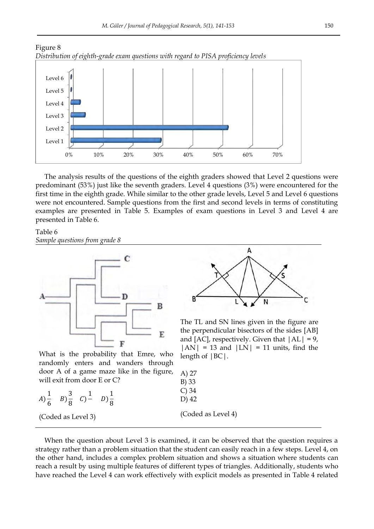



The analysis results of the questions of the eighth graders showed that Level 2 questions were predominant (53%) just like the seventh graders. Level 4 questions (3%) were encountered for the first time in the eighth grade. While similar to the other grade levels, Level 5 and Level 6 questions were not encountered. Sample questions from the first and second levels in terms of constituting examples are presented in Table 5. Examples of exam questions in Level 3 and Level 4 are presented in Table 6.

# Table 6 *Sample questions from grade 8*



What is the probability that Emre, who randomly enters and wanders through door A of a game maze like in the figure will exit from door E or C?

$$
A) \frac{1}{6} \quad B) \frac{3}{8} \quad C) \frac{1}{9} \quad D) \frac{1}{8}
$$

(Coded as Level 3)



The TL and SN lines given in the figure are the perpendicular bisectors of the sides [AB] and [AC], respectively. Given that  $|AL| = 9$ ,  $|AN| = 13$  and  $|LN| = 11$  units, find the length of |BC|.

| е, | A) 27              |
|----|--------------------|
|    | B) 33<br>$C$ ) 34  |
|    | D) 42              |
|    | (Coded as Level 4) |

When the question about Level 3 is examined, it can be observed that the question requires a strategy rather than a problem situation that the student can easily reach in a few steps. Level 4, on the other hand, includes a complex problem situation and shows a situation where students can reach a result by using multiple features of different types of triangles. Additionally, students who have reached the Level 4 can work effectively with explicit models as presented in Table 4 related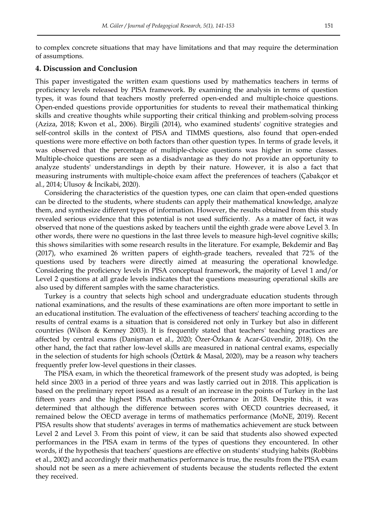to complex concrete situations that may have limitations and that may require the determination of assumptions.

## **4. Discussion and Conclusion**

This paper investigated the written exam questions used by mathematics teachers in terms of proficiency levels released by PISA framework. By examining the analysis in terms of question types, it was found that teachers mostly preferred open-ended and multiple-choice questions. Open-ended questions provide opportunities for students to reveal their mathematical thinking skills and creative thoughts while supporting their critical thinking and problem-solving process (Aziza, 2018; Kwon et al., 2006). Birgili (2014), who examined students' cognitive strategies and self-control skills in the context of PISA and TIMMS questions, also found that open-ended questions were more effective on both factors than other question types. In terms of grade levels, it was observed that the percentage of multiple-choice questions was higher in some classes. Multiple-choice questions are seen as a disadvantage as they do not provide an opportunity to analyze students' understandings in depth by their nature. However, it is also a fact that measuring instruments with multiple-choice exam affect the preferences of teachers (Çabakçor et al., 2014; Ulusoy & İncikabi, 2020).

Considering the characteristics of the question types, one can claim that open-ended questions can be directed to the students, where students can apply their mathematical knowledge, analyze them, and synthesize different types of information. However, the results obtained from this study revealed serious evidence that this potential is not used sufficiently. As a matter of fact, it was observed that none of the questions asked by teachers until the eighth grade were above Level 3. In other words, there were no questions in the last three levels to measure high-level cognitive skills; this shows similarities with some research results in the literature. For example, Bekdemir and Baş (2017), who examined 26 written papers of eighth-grade teachers, revealed that 72% of the questions used by teachers were directly aimed at measuring the operational knowledge. Considering the proficiency levels in PISA conceptual framework, the majority of Level 1 and/or Level 2 questions at all grade levels indicates that the questions measuring operational skills are also used by different samples with the same characteristics.

Turkey is a country that selects high school and undergraduate education students through national examinations, and the results of these examinations are often more important to settle in an educational institution. The evaluation of the effectiveness of teachers' teaching according to the results of central exams is a situation that is considered not only in Turkey but also in different countries (Wilson & Kenney 2003). It is frequently stated that teachers' teaching practices are affected by central exams (Danişman et al., 2020; Özer-Özkan & Acar-Güvendir, 2018). On the other hand, the fact that rather low-level skills are measured in national central exams, especially in the selection of students for high schools (Öztürk & Masal, 2020), may be a reason why teachers frequently prefer low-level questions in their classes.

The PISA exam, in which the theoretical framework of the present study was adopted, is being held since 2003 in a period of three years and was lastly carried out in 2018. This application is based on the preliminary report issued as a result of an increase in the points of Turkey in the last fifteen years and the highest PISA mathematics performance in 2018. Despite this, it was determined that although the difference between scores with OECD countries decreased, it remained below the OECD average in terms of mathematics performance (MoNE, 2019). Recent PISA results show that students' averages in terms of mathematics achievement are stuck between Level 2 and Level 3. From this point of view, it can be said that students also showed expected performances in the PISA exam in terms of the types of questions they encountered. In other words, if the hypothesis that teachers' questions are effective on students' studying habits (Robbins et al., 2002) and accordingly their mathematics performance is true, the results from the PISA exam should not be seen as a mere achievement of students because the students reflected the extent they received.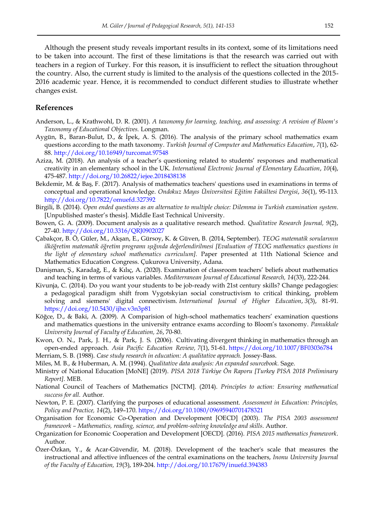Although the present study reveals important results in its context, some of its limitations need to be taken into account. The first of these limitations is that the research was carried out with teachers in a region of Turkey. For this reason, it is insufficient to reflect the situation throughout the country. Also, the current study is limited to the analysis of the questions collected in the 2015- 2016 academic year. Hence, it is recommended to conduct different studies to illustrate whether changes exist.

# **References**

- Anderson, L., & Krathwohl, D. R. (2001). *A taxonomy for learning, teaching, and assessing: A revision of Bloom's Taxonomy of Educational Objectives.* Longman.
- Aygün, B., Baran-Bulut, D., & İpek, A. S. (2016). The analysis of the primary school mathematics exam questions according to the math taxonomy. *Turkish Journal of Computer and Mathematics Education*, *7*(1), 62- 88.<http://doi.org/10.16949/turcomat.97548>
- Aziza, M. (2018). An analysis of a teacher's questioning related to students' responses and mathematical creativity in an elementary school in the UK. *International Electronic Journal of Elementary Education*, *10*(4), 475-487.<http://doi.org/10.26822/iejee.2018438138>
- Bekdemir, M. & Baş, F. (2017). Analysis of mathematics teachers' questions used in examinations in terms of conceptual and operational knowledge. *Ondokuz Mayıs Üniversitesi Eğitim Fakültesi Dergisi*, *36*(1), 95-113. <http://doi.org/10.7822/omuefd.327392>
- Birgili, B. (2014). *Open ended questions as an alternative to multiple choice: Dilemma in Turkish examination system*. [Unpublished master's thesis]. Middle East Technical University.
- Bowen, G. A. (2009). Document analysis as a qualitative research method. *Qualitative Research Journal, 9*(2), 27-40. <http://doi.org/10.3316/QRJ0902027>
- Çabakçor, B. Ö, Güler, M., Akşan, E., Gürsoy, K. & Güven, B. (2014, September). *TEOG matematik sorularının ilköğretim matematik öğretim programı ışığında değerlendirilmesi [Evaluation of TEOG mathematics questions in the light of elementary school mathematics curriculum].* Paper presented at 11th National Science and Mathematics Education Congress. Çukurova University, Adana.
- Danişman, Ş., Karadağ, E., & Kılıç, A. (2020). Examination of classroom teachers' beliefs about mathematics and teaching in terms of various variables. *Mediterranean Journal of Educational Research, 14*(33), 222-244.
- Kivunja, C. (2014). Do you want your students to be job-ready with 21st century skills? Change pedagogies: a pedagogical paradigm shift from Vygotskyian social constructivism to critical thinking, problem solving and siemens' digital connectivism. *International Journal of Higher Education*, *3*(3), 81-91. <https://doi.org/10.5430/ijhe.v3n3p81>
- Köğce, D., & Baki, A. (2009). A Comparision of high-school mathematics teachers' examination questions and mathematics questions in the university entrance exams according to Bloom's taxonomy. *Pamukkale University Journal of Faculty of Education, 26*, 70-80.
- Kwon, O. N., Park, J. H., & Park, J. S. (2006). Cultivating divergent thinking in mathematics through an open-ended approach. *Asia Pacific Education Review, 7*(1), 51-61.<https://doi.org/10.1007/BF03036784>
- Merriam, S. B. (1988). *Case study research in education: A qualitative approach.* Jossey-Bass.
- Miles, M. B., & Huberman, A. M. (1994). *Qualitative data analysis: An expanded sourcebook.* Sage.
- Ministry of National Education [MoNE] (2019). *PISA 2018 Türkiye Ön Raporu [Turkey PISA 2018 Preliminary Report]*. MEB.
- National Council of Teachers of Mathematics [NCTM]. (2014). *Principles to action: Ensuring mathematical success for all.* Author.
- Newton, P. E. (2007). Clarifying the purposes of educational assessment. *Assessment in Education: Principles, Policy and Practice, 14*(2), 149–170.<https://doi.org/10.1080/09695940701478321>
- Organisation for Economic Co-Operation and Development [OECD] (2003). *The PISA 2003 assessment framework – Mathematics, reading, science, and problem-solving knowledge and skills*. Author.
- Organization for Economic Cooperation and Development [OECD]. (2016). *PISA 2015 mathematics framework*. Author.
- Özer-Özkan, Y., & Acar-Güvendir, M. (2018). Development of the teacher's scale that measures the instructional and affective influences of the central examinations on the teachers, *Inonu University Journal of the Faculty of Education, 19*(3), 189-204[. http://doi.org/10.17679/inuefd.394383](http://doi.org/10.17679/inuefd.394383)